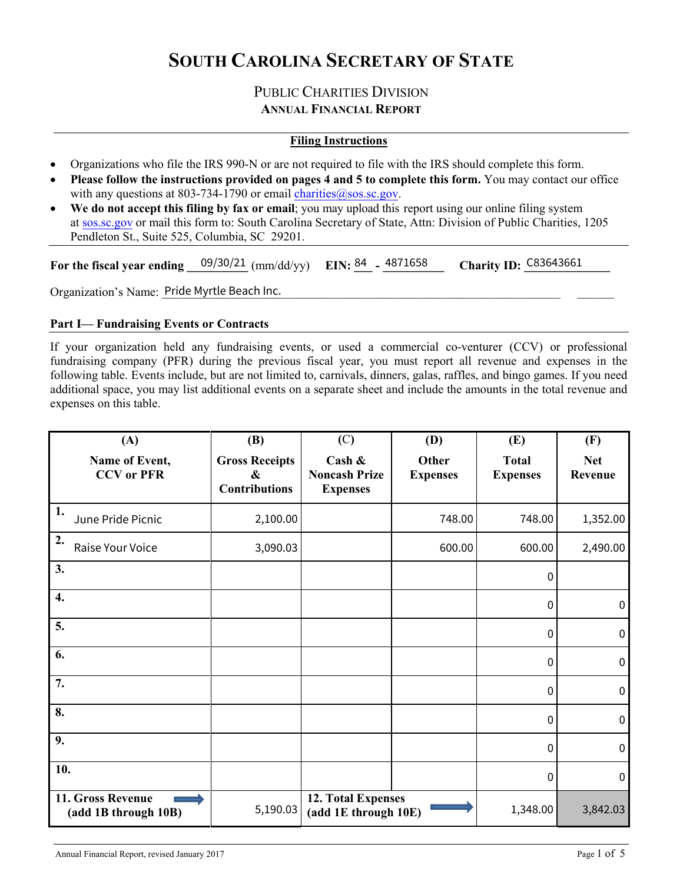## **SOUTH CAROLINA SECRETARY OF STATE**

#### PUBLIC CHARITIES DIVISION **ANNUAL FINANCIAL REPORT**

#### **Filing Instructions**

- Organizations who file the IRS 990-N or are not required to file with the IRS should complete this form.
- **Please follow the instructions provided on pages 4 and 5 to complete this form.** You may contact our office with any questions at 803-734-1790 or email charities  $\omega$  sos.sc.gov.
- **We do not accept this filing by fax or email**; you may upload this report using our online filing system at [sos.sc.gov](https://sos.sc.gov) or mail this form to: South Carolina Secretary of State, Attn: Division of Public Charities, 1205 Pendleton St., Suite 525, Columbia, SC 29201.

| For the fiscal year ending $09/30/21$ (mm/dd/yy) EIN: $84$ - 4871658 |  | <b>Charity ID: C83643661</b> |
|----------------------------------------------------------------------|--|------------------------------|
| Organization's Name: Pride Myrtle Beach Inc.                         |  |                              |

#### **Part I— Fundraising Events or Contracts**

If your organization held any fundraising events, or used a commercial co-venturer (CCV) or professional fundraising company (PFR) during the previous fiscal year, you must report all revenue and expenses in the following table. Events include, but are not limited to, carnivals, dinners, galas, raffles, and bingo games. If you need additional space, you may list additional events on a separate sheet and include the amounts in the total revenue and expenses on this table.

| (A)                                       | (B)                                                                | (C)                                                  | (D)                      | (E)                             | (F)                   |
|-------------------------------------------|--------------------------------------------------------------------|------------------------------------------------------|--------------------------|---------------------------------|-----------------------|
| Name of Event,<br><b>CCV</b> or PFR       | <b>Gross Receipts</b><br>$\boldsymbol{\&}$<br><b>Contributions</b> | Cash $\&$<br><b>Noncash Prize</b><br><b>Expenses</b> | Other<br><b>Expenses</b> | <b>Total</b><br><b>Expenses</b> | <b>Net</b><br>Revenue |
| 1.<br>June Pride Picnic                   | 2,100.00                                                           |                                                      | 748.00                   | 748.00                          | 1,352.00              |
| 2.<br>Raise Your Voice                    | 3,090.03                                                           |                                                      | 600.00                   | 600.00                          | 2,490.00              |
| 3.                                        |                                                                    |                                                      |                          | 0                               |                       |
| 4.                                        |                                                                    |                                                      |                          | 0                               | $\mathbf 0$           |
| 5.                                        |                                                                    |                                                      |                          | 0                               | $\mathbf 0$           |
| 6.                                        |                                                                    |                                                      |                          | $\mathbf 0$                     | $\mathbf 0$           |
| 7.                                        |                                                                    |                                                      |                          | 0                               | $\boldsymbol{0}$      |
| 8.                                        |                                                                    |                                                      |                          | $\mathbf 0$                     | $\pmb{0}$             |
| 9.                                        |                                                                    |                                                      |                          | $\mathbf{0}$                    | $\mathbf 0$           |
| 10.                                       |                                                                    |                                                      |                          | 0                               | $\mathbf 0$           |
| 11. Gross Revenue<br>(add 1B through 10B) | 5,190.03                                                           | 12. Total Expenses<br>(add 1E through 10E)           |                          | 1,348.00                        | 3,842.03              |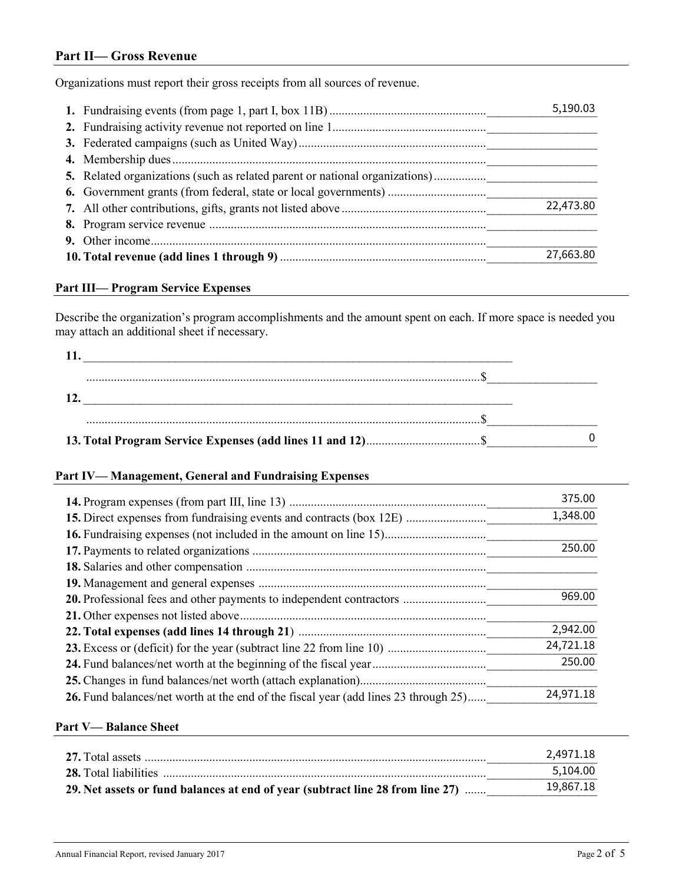#### **Part II— Gross Revenue**

Organizations must report their gross receipts from all sources of revenue.

|  | 5,190.03  |
|--|-----------|
|  |           |
|  |           |
|  |           |
|  |           |
|  |           |
|  | 22,473.80 |
|  |           |
|  |           |
|  | 27,663.80 |

#### **Part III— Program Service Expenses**

|                                                                                                                                                             | 27,663.80 |
|-------------------------------------------------------------------------------------------------------------------------------------------------------------|-----------|
| art III— Program Service Expenses                                                                                                                           |           |
| Describe the organization's program accomplishments and the amount spent on each. If more space is needed y<br>nay attach an additional sheet if necessary. |           |
| 11.                                                                                                                                                         |           |
|                                                                                                                                                             |           |
| $\frac{12.}{2}$                                                                                                                                             |           |
|                                                                                                                                                             |           |
|                                                                                                                                                             |           |

#### **Part IV— Management, General and Fundraising Expenses**

|                                                                                     | 375.00    |
|-------------------------------------------------------------------------------------|-----------|
|                                                                                     | 1,348.00  |
|                                                                                     |           |
|                                                                                     | 250.00    |
|                                                                                     |           |
|                                                                                     |           |
|                                                                                     | 969.00    |
|                                                                                     |           |
|                                                                                     | 2,942.00  |
| 23. Excess or (deficit) for the year (subtract line 22 from line 10)                | 24,721.18 |
|                                                                                     | 250.00    |
|                                                                                     |           |
| 26. Fund balances/net worth at the end of the fiscal year (add lines 23 through 25) | 24,971.18 |

#### **Part V— Balance Sheet**

|                                                                                | 2.4971.18 |
|--------------------------------------------------------------------------------|-----------|
|                                                                                | 5.104.00  |
| 29. Net assets or fund balances at end of year (subtract line 28 from line 27) | 19,867.18 |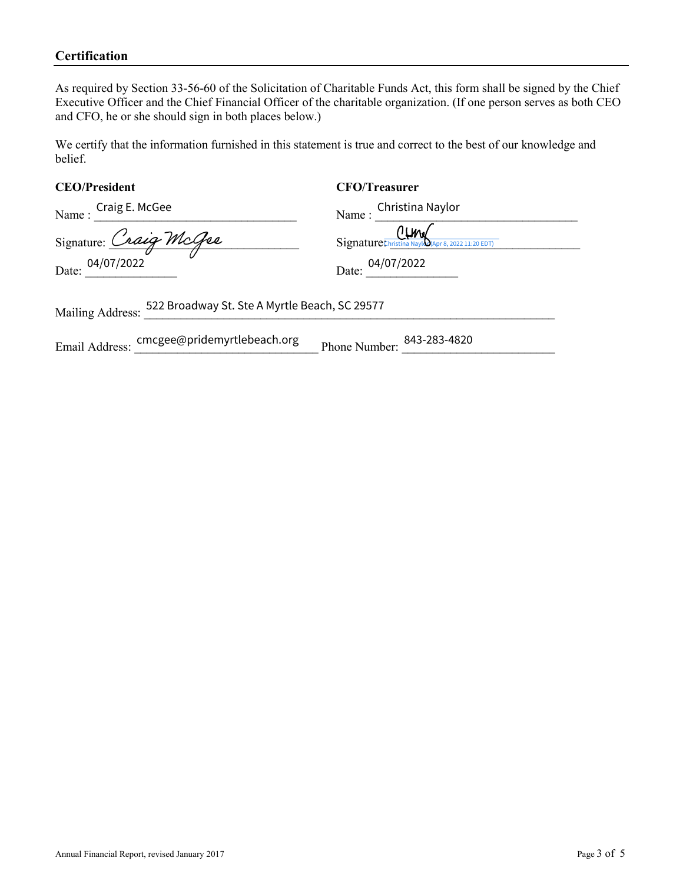#### **Certification**

As required by Section 33-56-60 of the Solicitation of Charitable Funds Act, this form shall be signed by the Chief Executive Officer and the Chief Financial Officer of the charitable organization. (If one person serves as both CEO and CFO, he or she should sign in both places below.)

We certify that the information furnished in this statement is true and correct to the best of our knowledge and belief.

#### **CEO/President CFO/Treasurer**

| Name: Craig E. McGee                                              | Christina Naylor<br>Name:                                                            |  |
|-------------------------------------------------------------------|--------------------------------------------------------------------------------------|--|
| Signature: Craig McGee<br>Date: 04/07/2022                        | $\overbrace{\text{Signature}}^{\text{O}}_{\text{Christina May}}$<br>Date: 04/07/2022 |  |
| 522 Broadway St. Ste A Myrtle Beach, SC 29577<br>Mailing Address: |                                                                                      |  |

Email Address: cmcgee@pridemyrtlebeach.org Phone Number: 2843-283-4820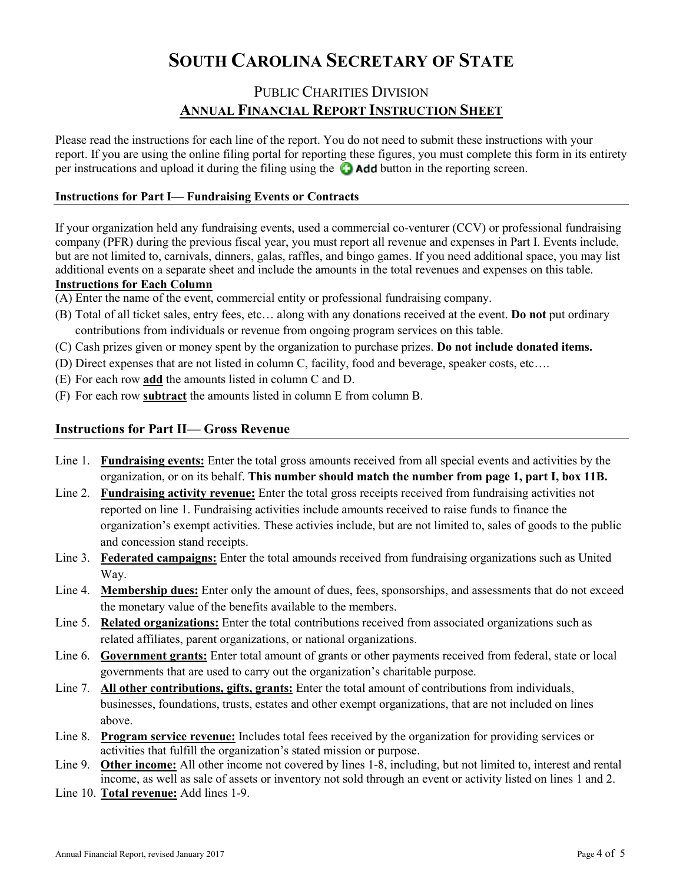# **SOUTH CAROLINA SECRETARY OF STATE**

### PUBLIC CHARITIES DIVISION **ANNUAL FINANCIAL REPORT INSTRUCTION SHEET**

Please read the instructions for each line of the report. You do not need to submit these instructions with your report. If you are using the online filing portal for reporting these figures, you must complete this form in its entirety per instrucations and upload it during the filing using the  $\bullet$  **Add** button in the reporting screen.

#### **Instructions for Part I— Fundraising Events or Contracts**

If your organization held any fundraising events, used a commercial co-venturer (CCV) or professional fundraising company (PFR) during the previous fiscal year, you must report all revenue and expenses in Part I. Events include, but are not limited to, carnivals, dinners, galas, raffles, and bingo games. If you need additional space, you may list additional events on a separate sheet and include the amounts in the total revenues and expenses on this table.

#### **Instructions for Each Column**

- (A) Enter the name of the event, commercial entity or professional fundraising company.
- (B) Total of all ticket sales, entry fees, etc… along with any donations received at the event. **Do not** put ordinary contributions from individuals or revenue from ongoing program services on this table.
- (C) Cash prizes given or money spent by the organization to purchase prizes. **Do not include donated items.**
- (D) Direct expenses that are not listed in column C, facility, food and beverage, speaker costs, etc….
- (E) For each row **add** the amounts listed in column C and D.
- (F) For each row **subtract** the amounts listed in column E from column B.

#### **Instructions for Part II— Gross Revenue**

- Line 1. **Fundraising events:** Enter the total gross amounts received from all special events and activities by the organization, or on its behalf. **This number should match the number from page 1, part I, box 11B.**
- Line 2. **Fundraising activity revenue:** Enter the total gross receipts received from fundraising activities not reported on line 1. Fundraising activities include amounts received to raise funds to finance the organization's exempt activities. These activies include, but are not limited to, sales of goods to the public and concession stand receipts.
- Line 3. **Federated campaigns:** Enter the total amounds received from fundraising organizations such as United Way.
- Line 4. **Membership dues:** Enter only the amount of dues, fees, sponsorships, and assessments that do not exceed the monetary value of the benefits available to the members.
- Line 5. **Related organizations:** Enter the total contributions received from associated organizations such as related affiliates, parent organizations, or national organizations.
- Line 6. **Government grants:** Enter total amount of grants or other payments received from federal, state or local governments that are used to carry out the organization's charitable purpose.
- Line 7. **All other contributions, gifts, grants:** Enter the total amount of contributions from individuals, businesses, foundations, trusts, estates and other exempt organizations, that are not included on lines above.
- Line 8. **Program service revenue:** Includes total fees received by the organization for providing services or activities that fulfill the organization's stated mission or purpose.
- Line 9. **Other income:** All other income not covered by lines 1-8, including, but not limited to, interest and rental income, as well as sale of assets or inventory not sold through an event or activity listed on lines 1 and 2.
- Line 10. **Total revenue:** Add lines 1-9.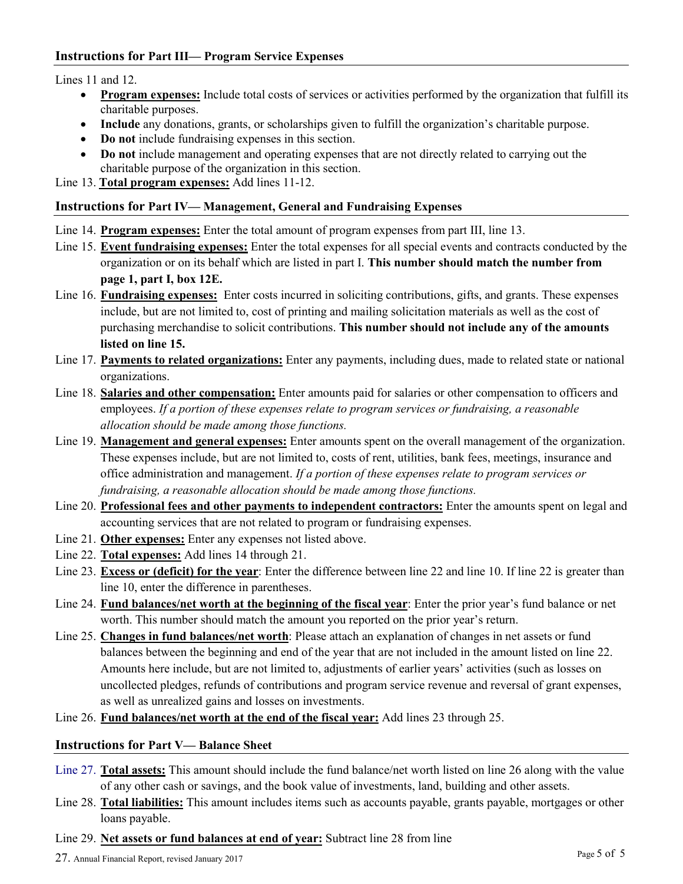Lines 11 and 12.

- **Program expenses:** Include total costs of services or activities performed by the organization that fulfill its charitable purposes.
- **Include** any donations, grants, or scholarships given to fulfill the organization's charitable purpose.
- **Do not** include fundraising expenses in this section.
- **Do not** include management and operating expenses that are not directly related to carrying out the charitable purpose of the organization in this section.

Line 13. **Total program expenses:** Add lines 11-12.

#### **Instructions for Part IV— Management, General and Fundraising Expenses**

- Line 14. **Program expenses:** Enter the total amount of program expenses from part III, line 13.
- Line 15. **Event fundraising expenses:** Enter the total expenses for all special events and contracts conducted by the organization or on its behalf which are listed in part I. **This number should match the number from page 1, part I, box 12E.**
- Line 16. **Fundraising expenses:** Enter costs incurred in soliciting contributions, gifts, and grants. These expenses include, but are not limited to, cost of printing and mailing solicitation materials as well as the cost of purchasing merchandise to solicit contributions. **This number should not include any of the amounts listed on line 15.**
- Line 17. **Payments to related organizations:** Enter any payments, including dues, made to related state or national organizations.
- Line 18. **Salaries and other compensation:** Enter amounts paid for salaries or other compensation to officers and employees. *If a portion of these expenses relate to program services or fundraising, a reasonable allocation should be made among those functions.*
- Line 19. **Management and general expenses:** Enter amounts spent on the overall management of the organization. These expenses include, but are not limited to, costs of rent, utilities, bank fees, meetings, insurance and office administration and management. *If a portion of these expenses relate to program services or fundraising, a reasonable allocation should be made among those functions.*
- Line 20. **Professional fees and other payments to independent contractors:** Enter the amounts spent on legal and accounting services that are not related to program or fundraising expenses.
- Line 21. **Other expenses:** Enter any expenses not listed above.
- Line 22. **Total expenses:** Add lines 14 through 21.
- Line 23. **Excess or (deficit) for the year**: Enter the difference between line 22 and line 10. If line 22 is greater than line 10, enter the difference in parentheses.
- Line 24. **Fund balances/net worth at the beginning of the fiscal year**: Enter the prior year's fund balance or net worth. This number should match the amount you reported on the prior year's return.
- Line 25. **Changes in fund balances/net worth**: Please attach an explanation of changes in net assets or fund balances between the beginning and end of the year that are not included in the amount listed on line 22. Amounts here include, but are not limited to, adjustments of earlier years' activities (such as losses on uncollected pledges, refunds of contributions and program service revenue and reversal of grant expenses, as well as unrealized gains and losses on investments.
- Line 26. **Fund balances/net worth at the end of the fiscal year:** Add lines 23 through 25.

#### **Instructions for Part V— Balance Sheet**

- Line 27. **Total assets:** This amount should include the fund balance/net worth listed on line 26 along with the value of any other cash or savings, and the book value of investments, land, building and other assets.
- Line 28. **Total liabilities:** This amount includes items such as accounts payable, grants payable, mortgages or other loans payable.
- Line 29. **Net assets or fund balances at end of year:** Subtract line 28 from line